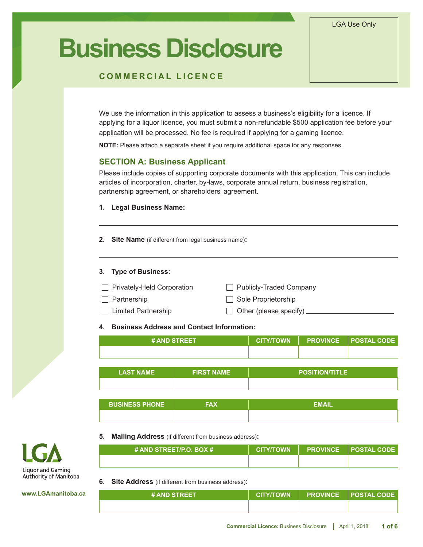#### LGA Use Only

# **Business Disclosure**

## **COMMERCIAL LICENCE**

We use the information in this application to assess a business's eligibility for a licence. If applying for a liquor licence, you must submit a non-refundable \$500 application fee before your application will be processed. No fee is required if applying for a gaming licence.

**NOTE:** Please attach a separate sheet if you require additional space for any responses.

## **SECTION A: Business Applicant**

Please include copies of supporting corporate documents with this application. This can include articles of incorporation, charter, by-laws, corporate annual return, business registration, partnership agreement, or shareholders' agreement.

#### **1. Legal Business Name:**

**2. Site Name** (if different from legal business name)**:**

#### **3. Type of Business:**

| Privately-Held Corporation | Publicly-Traded Company              |
|----------------------------|--------------------------------------|
| $\Box$ Partnership         | Sole Proprietorship                  |
| $\Box$ Limited Partnership | $\Box$ Other (please specify) $\Box$ |

**4. Business Address and Contact Information:**

| <b># AND STREET</b> |  | CITY/TOWN   PROVINCE   POSTAL CODE |
|---------------------|--|------------------------------------|
|                     |  |                                    |

| <b>LAST NAME</b> | <b>FIRST NAME</b> | <b>POSITION/TITLE</b> |
|------------------|-------------------|-----------------------|
|                  |                   |                       |

| <b>BUSINESS PHONE</b> | ЕМАЊ |
|-----------------------|------|
|                       |      |

**5. Mailing Address** (if different from business address)**:**

| $\#$ AND STREET/P.O. BOX $\#$ | CITY/TOWN | │ PROVINCE │POSTAL CODE│ |
|-------------------------------|-----------|--------------------------|
|                               |           |                          |

**6. Site Address** (if different from business address)**:**

| <b># AND STREET</b> |  | CITY/TOWN PROVINCE POSTAL CODE ! |
|---------------------|--|----------------------------------|
|                     |  |                                  |



**www.LGAmanitoba.ca**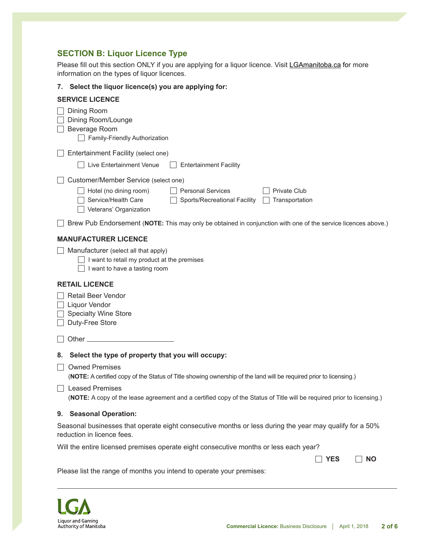# **SECTION B: Liquor Licence Type**

Please fill out this section ONLY if you are applying for a liquor licence. Visit LGAmanitoba.ca for more information on the types of liquor licences.

#### **7. Select the liquor licence(s) you are applying for:**

| <b>SERVICE LICENCE</b>                                                                                                                                                              |
|-------------------------------------------------------------------------------------------------------------------------------------------------------------------------------------|
| Dining Room<br>Dining Room/Lounge<br>Beverage Room<br>Family-Friendly Authorization                                                                                                 |
| Entertainment Facility (select one)                                                                                                                                                 |
| Live Entertainment Venue<br><b>Entertainment Facility</b>                                                                                                                           |
| Customer/Member Service (select one)                                                                                                                                                |
| $\Box$ Hotel (no dining room)<br><b>Personal Services</b><br><b>Private Club</b><br>Service/Health Care<br>Sports/Recreational Facility<br>Transportation<br>Veterans' Organization |
| Brew Pub Endorsement (NOTE: This may only be obtained in conjunction with one of the service licences above.)                                                                       |
| <b>MANUFACTURER LICENCE</b>                                                                                                                                                         |
| $\Box$ Manufacturer (select all that apply)<br>I want to retail my product at the premises<br>I want to have a tasting room                                                         |
| <b>RETAIL LICENCE</b>                                                                                                                                                               |
| <b>Retail Beer Vendor</b><br><b>Liquor Vendor</b><br><b>Specialty Wine Store</b><br>Duty-Free Store                                                                                 |
|                                                                                                                                                                                     |
| 8. Select the type of property that you will occupy:                                                                                                                                |
| <b>Owned Premises</b><br>(NOTE: A certified copy of the Status of Title showing ownership of the land will be required prior to licensing.)                                         |
| Leased Premises<br>(NOTE: A copy of the lease agreement and a certified copy of the Status of Title will be required prior to licensing.)                                           |
| 9. Seasonal Operation:                                                                                                                                                              |
| Seasonal businesses that operate eight consecutive months or less during the year may qualify for a 50%<br>reduction in licence fees.                                               |
| Will the entire licensed premises operate eight consecutive months or less each year?                                                                                               |

**Example 20** YES NO

Please list the range of months you intend to operate your premises:

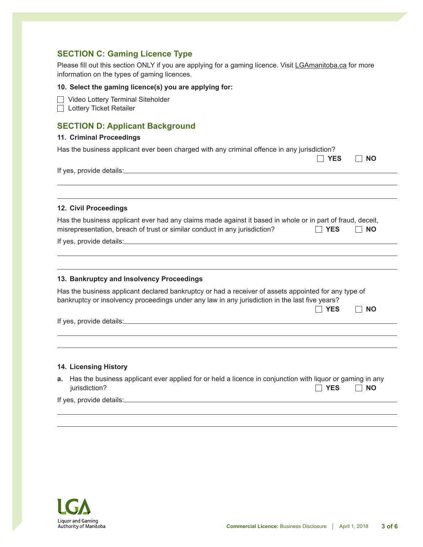## **SECTION C: Gaming Licence Type**

Please fill out this section ONLY if you are applying for a gaming licence. Visit LGAmanitoba.ca for more information on the types of gaming licences.

#### **10. Select the gaming licence(s) you are applying for:**

□ Video Lottery Terminal Siteholder

**Lottery Ticket Retailer** 

## **SECTION D: Applicant Background**

#### **11. Criminal Proceedings**

|  | Has the business applicant ever been charged with any criminal offence in any jurisdiction? |  |
|--|---------------------------------------------------------------------------------------------|--|
|--|---------------------------------------------------------------------------------------------|--|

**EXAMPLE 20 NO** 

If yes, provide details:

#### **12. Civil Proceedings**

| Has the business applicant ever had any claims made against it based in whole or in part of fraud, deceit, |            |      |
|------------------------------------------------------------------------------------------------------------|------------|------|
| misrepresentation, breach of trust or similar conduct in any jurisdiction?                                 | $\Box$ YES | IINO |

If yes, provide details:

#### **13. Bankruptcy and Insolvency Proceedings**

Has the business applicant declared bankruptcy or had a receiver of assets appointed for any type of bankruptcy or insolvency proceedings under any law in any jurisdiction in the last five years?

|                          |  |  | ----<br>ΈS. | NΟ |
|--------------------------|--|--|-------------|----|
| If yes, provide details: |  |  |             |    |

#### **14. Licensing History**

| a. Has the business applicant ever applied for or held a licence in conjunction with liquor or gaming in any |       |           |
|--------------------------------------------------------------------------------------------------------------|-------|-----------|
| jurisdiction?                                                                                                | IIYES | $\Box$ NO |

If yes, provide details:

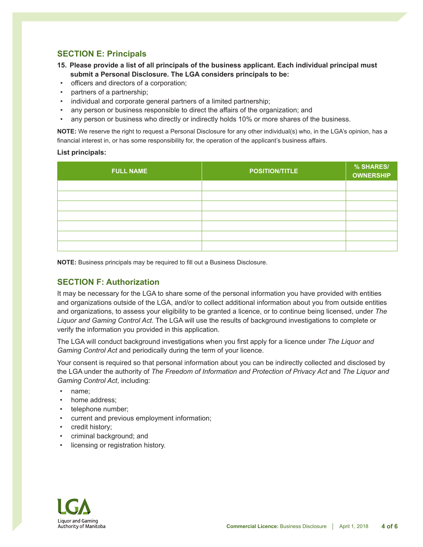# **SECTION E: Principals**

- **15. Please provide a list of all principals of the business applicant. Each individual principal must submit a Personal Disclosure. The LGA considers principals to be:**
- officers and directors of a corporation;
- partners of a partnership;
- individual and corporate general partners of a limited partnership;
- any person or business responsible to direct the affairs of the organization; and
- any person or business who directly or indirectly holds 10% or more shares of the business.

**NOTE:** We reserve the right to request a Personal Disclosure for any other individual(s) who, in the LGA's opinion, has a financial interest in, or has some responsibility for, the operation of the applicant's business affairs.

#### **List principals:**

| <b>FULL NAME</b> | <b>POSITION/TITLE</b> | % SHARES/<br><b>OWNERSHIP</b> |
|------------------|-----------------------|-------------------------------|
|                  |                       |                               |
|                  |                       |                               |
|                  |                       |                               |
|                  |                       |                               |
|                  |                       |                               |
|                  |                       |                               |
|                  |                       |                               |

**NOTE:** Business principals may be required to fill out a Business Disclosure.

## **SECTION F: Authorization**

It may be necessary for the LGA to share some of the personal information you have provided with entities and organizations outside of the LGA, and/or to collect additional information about you from outside entities and organizations, to assess your eligibility to be granted a licence, or to continue being licensed, under *The Liquor and Gaming Control Act*. The LGA will use the results of background investigations to complete or verify the information you provided in this application.

The LGA will conduct background investigations when you first apply for a licence under *The Liquor and Gaming Control Act* and periodically during the term of your licence.

Your consent is required so that personal information about you can be indirectly collected and disclosed by the LGA under the authority of *The Freedom of Information and Protection of Privacy Act* and *The Liquor and Gaming Control Act*, including:

- name;
- home address:
- telephone number;
- current and previous employment information;
- credit history:
- criminal background; and
- licensing or registration history.

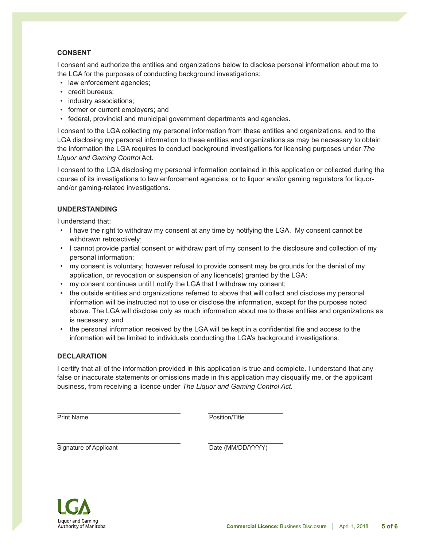## **CONSENT**

I consent and authorize the entities and organizations below to disclose personal information about me to the LGA for the purposes of conducting background investigations:

- law enforcement agencies;
- credit bureaus;
- industry associations;
- former or current employers; and
- federal, provincial and municipal government departments and agencies.

I consent to the LGA collecting my personal information from these entities and organizations, and to the LGA disclosing my personal information to these entities and organizations as may be necessary to obtain the information the LGA requires to conduct background investigations for licensing purposes under *The Liquor and Gaming Control* Act.

I consent to the LGA disclosing my personal information contained in this application or collected during the course of its investigations to law enforcement agencies, or to liquor and/or gaming regulators for liquorand/or gaming-related investigations.

#### **UNDERSTANDING**

I understand that:

- I have the right to withdraw my consent at any time by notifying the LGA. My consent cannot be withdrawn retroactively;
- I cannot provide partial consent or withdraw part of my consent to the disclosure and collection of my personal information;
- my consent is voluntary; however refusal to provide consent may be grounds for the denial of my application, or revocation or suspension of any licence(s) granted by the LGA;
- my consent continues until I notify the LGA that I withdraw my consent;

- the outside entities and organizations referred to above that will collect and disclose my personal information will be instructed not to use or disclose the information, except for the purposes noted above. The LGA will disclose only as much information about me to these entities and organizations as is necessary; and
- the personal information received by the LGA will be kept in a confidential file and access to the information will be limited to individuals conducting the LGA's background investigations.

#### **DECLARATION**

I certify that all of the information provided in this application is true and complete. I understand that any false or inaccurate statements or omissions made in this application may disqualify me, or the applicant business, from receiving a licence under *The Liquor and Gaming Control Act*.

**Print Name Prince Reserve All Alternative Contract Position/Title** 

Signature of Applicant Communication Control of Applicant Communication Control of Date (MM/DD/YYYY)